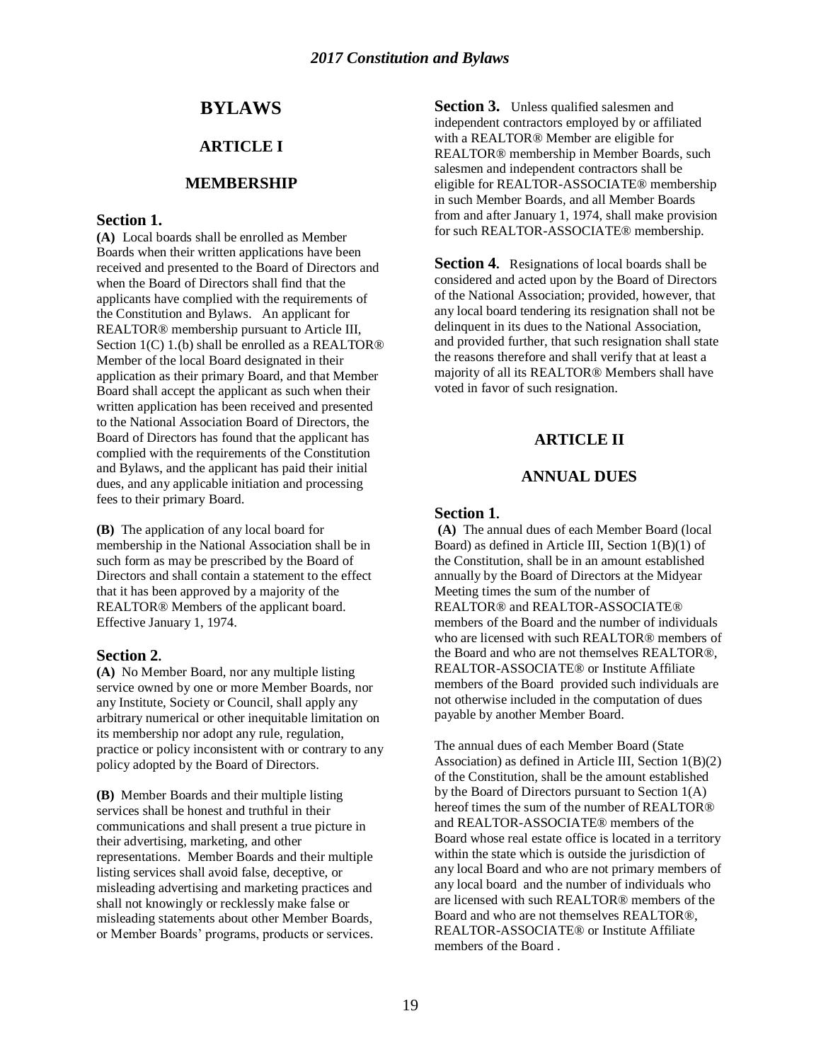# **BYLAWS**

# **ARTICLE I**

#### **MEMBERSHIP**

#### **Section 1.**

**(A)** Local boards shall be enrolled as Member Boards when their written applications have been received and presented to the Board of Directors and when the Board of Directors shall find that the applicants have complied with the requirements of the Constitution and Bylaws. An applicant for REALTOR® membership pursuant to Article III, Section 1(C) 1.(b) shall be enrolled as a REALTOR<sup>®</sup> Member of the local Board designated in their application as their primary Board, and that Member Board shall accept the applicant as such when their written application has been received and presented to the National Association Board of Directors, the Board of Directors has found that the applicant has complied with the requirements of the Constitution and Bylaws, and the applicant has paid their initial dues, and any applicable initiation and processing fees to their primary Board.

**(B)** The application of any local board for membership in the National Association shall be in such form as may be prescribed by the Board of Directors and shall contain a statement to the effect that it has been approved by a majority of the REALTOR® Members of the applicant board. Effective January 1, 1974.

#### **Section 2.**

**(A)** No Member Board, nor any multiple listing service owned by one or more Member Boards, nor any Institute, Society or Council, shall apply any arbitrary numerical or other inequitable limitation on its membership nor adopt any rule, regulation, practice or policy inconsistent with or contrary to any policy adopted by the Board of Directors.

**(B)** Member Boards and their multiple listing services shall be honest and truthful in their communications and shall present a true picture in their advertising, marketing, and other representations. Member Boards and their multiple listing services shall avoid false, deceptive, or misleading advertising and marketing practices and shall not knowingly or recklessly make false or misleading statements about other Member Boards, or Member Boards' programs, products or services. **Section 3.** Unless qualified salesmen and independent contractors employed by or affiliated with a REALTOR® Member are eligible for REALTOR® membership in Member Boards, such salesmen and independent contractors shall be eligible for REALTOR-ASSOCIATE® membership in such Member Boards, and all Member Boards from and after January 1, 1974, shall make provision for such REALTOR-ASSOCIATE® membership.

**Section 4.** Resignations of local boards shall be considered and acted upon by the Board of Directors of the National Association; provided, however, that any local board tendering its resignation shall not be delinquent in its dues to the National Association, and provided further, that such resignation shall state the reasons therefore and shall verify that at least a majority of all its REALTOR® Members shall have voted in favor of such resignation.

#### **ARTICLE II**

#### **ANNUAL DUES**

#### **Section 1.**

**(A)** The annual dues of each Member Board (local Board) as defined in Article III, Section 1(B)(1) of the Constitution, shall be in an amount established annually by the Board of Directors at the Midyear Meeting times the sum of the number of REALTOR® and REALTOR-ASSOCIATE® members of the Board and the number of individuals who are licensed with such REALTOR® members of the Board and who are not themselves REALTOR®, REALTOR-ASSOCIATE® or Institute Affiliate members of the Board provided such individuals are not otherwise included in the computation of dues payable by another Member Board.

The annual dues of each Member Board (State Association) as defined in Article III, Section 1(B)(2) of the Constitution, shall be the amount established by the Board of Directors pursuant to Section 1(A) hereof times the sum of the number of REALTOR® and REALTOR-ASSOCIATE® members of the Board whose real estate office is located in a territory within the state which is outside the jurisdiction of any local Board and who are not primary members of any local board and the number of individuals who are licensed with such REALTOR® members of the Board and who are not themselves REALTOR®, REALTOR-ASSOCIATE® or Institute Affiliate members of the Board .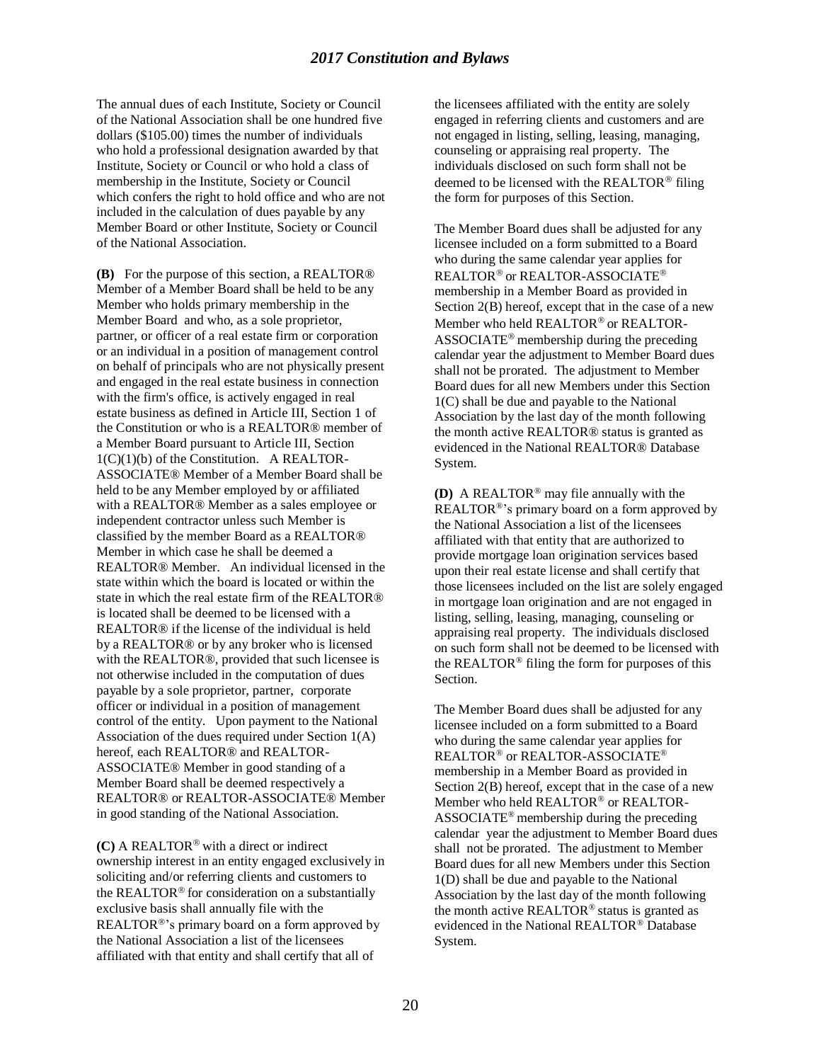#### *2017 Constitution and Bylaws*

The annual dues of each Institute, Society or Council of the National Association shall be one hundred five dollars (\$105.00) times the number of individuals who hold a professional designation awarded by that Institute, Society or Council or who hold a class of membership in the Institute, Society or Council which confers the right to hold office and who are not included in the calculation of dues payable by any Member Board or other Institute, Society or Council of the National Association.

**(B)** For the purpose of this section, a REALTOR® Member of a Member Board shall be held to be any Member who holds primary membership in the Member Board and who, as a sole proprietor, partner, or officer of a real estate firm or corporation or an individual in a position of management control on behalf of principals who are not physically present and engaged in the real estate business in connection with the firm's office, is actively engaged in real estate business as defined in Article III, Section 1 of the Constitution or who is a REALTOR® member of a Member Board pursuant to Article III, Section  $1(C)(1)(b)$  of the Constitution. A REALTOR-ASSOCIATE® Member of a Member Board shall be held to be any Member employed by or affiliated with a REALTOR® Member as a sales employee or independent contractor unless such Member is classified by the member Board as a REALTOR® Member in which case he shall be deemed a REALTOR® Member. An individual licensed in the state within which the board is located or within the state in which the real estate firm of the REALTOR® is located shall be deemed to be licensed with a REALTOR® if the license of the individual is held by a REALTOR® or by any broker who is licensed with the REALTOR®, provided that such licensee is not otherwise included in the computation of dues payable by a sole proprietor, partner, corporate officer or individual in a position of management control of the entity. Upon payment to the National Association of the dues required under Section 1(A) hereof, each REALTOR® and REALTOR-ASSOCIATE® Member in good standing of a Member Board shall be deemed respectively a REALTOR® or REALTOR-ASSOCIATE® Member in good standing of the National Association.

 $(C)$  A REALTOR<sup>®</sup> with a direct or indirect ownership interest in an entity engaged exclusively in soliciting and/or referring clients and customers to the REALTOR® for consideration on a substantially exclusive basis shall annually file with the REALTOR<sup>®</sup>'s primary board on a form approved by the National Association a list of the licensees affiliated with that entity and shall certify that all of

the licensees affiliated with the entity are solely engaged in referring clients and customers and are not engaged in listing, selling, leasing, managing, counseling or appraising real property. The individuals disclosed on such form shall not be deemed to be licensed with the REALTOR® filing the form for purposes of this Section.

The Member Board dues shall be adjusted for any licensee included on a form submitted to a Board who during the same calendar year applies for REALTOR<sup>®</sup> or REALTOR-ASSOCIATE<sup>®</sup> membership in a Member Board as provided in Section 2(B) hereof, except that in the case of a new Member who held REALTOR® or REALTOR-ASSOCIATE<sup>®</sup> membership during the preceding calendar year the adjustment to Member Board dues shall not be prorated. The adjustment to Member Board dues for all new Members under this Section 1(C) shall be due and payable to the National Association by the last day of the month following the month active REALTOR® status is granted as evidenced in the National REALTOR® Database System.

**(D)** A REALTOR® may file annually with the REALTOR<sup>®</sup>'s primary board on a form approved by the National Association a list of the licensees affiliated with that entity that are authorized to provide mortgage loan origination services based upon their real estate license and shall certify that those licensees included on the list are solely engaged in mortgage loan origination and are not engaged in listing, selling, leasing, managing, counseling or appraising real property. The individuals disclosed on such form shall not be deemed to be licensed with the REALTOR® filing the form for purposes of this Section.

The Member Board dues shall be adjusted for any licensee included on a form submitted to a Board who during the same calendar year applies for REALTOR® or REALTOR-ASSOCIATE® membership in a Member Board as provided in Section 2(B) hereof, except that in the case of a new Member who held REALTOR® or REALTOR-ASSOCIATE® membership during the preceding calendar year the adjustment to Member Board dues shall not be prorated. The adjustment to Member Board dues for all new Members under this Section 1(D) shall be due and payable to the National Association by the last day of the month following the month active REALTOR® status is granted as evidenced in the National REALTOR® Database System.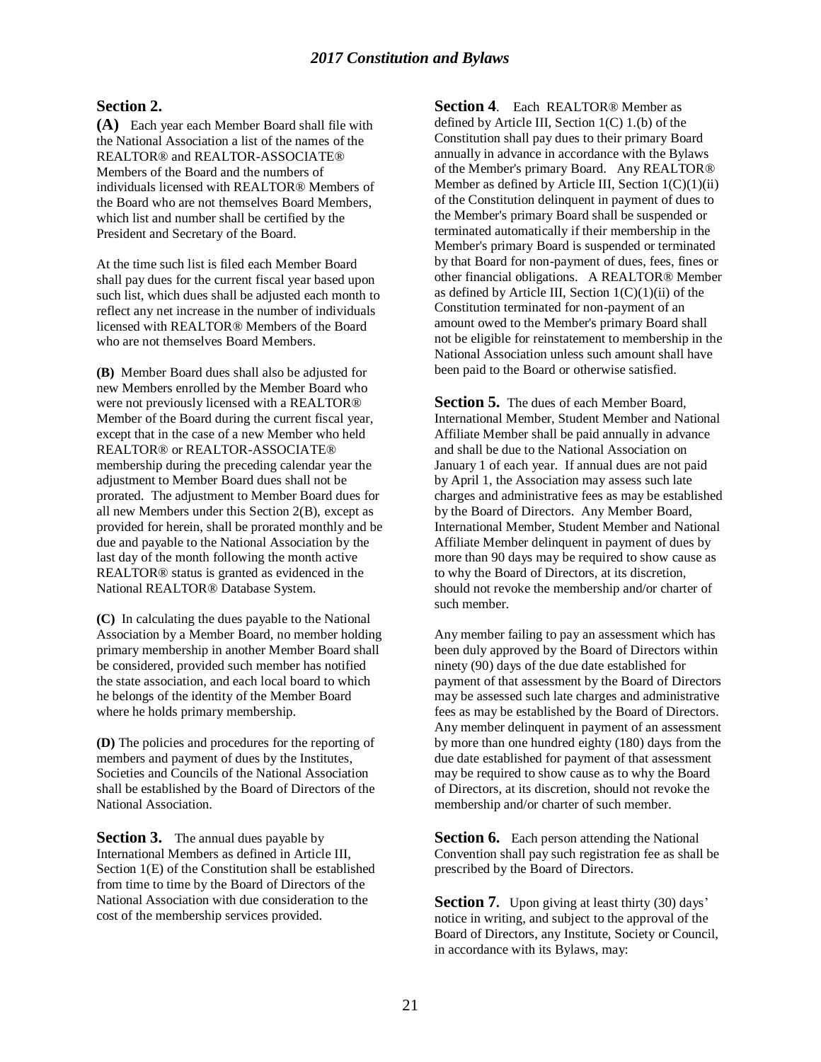#### **Section 2.**

**(A)** Each year each Member Board shall file with the National Association a list of the names of the REALTOR® and REALTOR-ASSOCIATE® Members of the Board and the numbers of individuals licensed with REALTOR® Members of the Board who are not themselves Board Members, which list and number shall be certified by the President and Secretary of the Board.

At the time such list is filed each Member Board shall pay dues for the current fiscal year based upon such list, which dues shall be adjusted each month to reflect any net increase in the number of individuals licensed with REALTOR® Members of the Board who are not themselves Board Members.

**(B)** Member Board dues shall also be adjusted for new Members enrolled by the Member Board who were not previously licensed with a REALTOR® Member of the Board during the current fiscal year, except that in the case of a new Member who held REALTOR® or REALTOR-ASSOCIATE® membership during the preceding calendar year the adjustment to Member Board dues shall not be prorated. The adjustment to Member Board dues for all new Members under this Section 2(B), except as provided for herein, shall be prorated monthly and be due and payable to the National Association by the last day of the month following the month active REALTOR® status is granted as evidenced in the National REALTOR® Database System.

**(C)** In calculating the dues payable to the National Association by a Member Board, no member holding primary membership in another Member Board shall be considered, provided such member has notified the state association, and each local board to which he belongs of the identity of the Member Board where he holds primary membership.

**(D)** The policies and procedures for the reporting of members and payment of dues by the Institutes, Societies and Councils of the National Association shall be established by the Board of Directors of the National Association.

**Section 3.** The annual dues payable by International Members as defined in Article III, Section 1(E) of the Constitution shall be established from time to time by the Board of Directors of the National Association with due consideration to the cost of the membership services provided.

**Section 4**. Each REALTOR® Member as defined by Article III, Section  $1(C)$  1.(b) of the Constitution shall pay dues to their primary Board annually in advance in accordance with the Bylaws of the Member's primary Board. Any REALTOR® Member as defined by Article III, Section  $1(C)(1)(ii)$ of the Constitution delinquent in payment of dues to the Member's primary Board shall be suspended or terminated automatically if their membership in the Member's primary Board is suspended or terminated by that Board for non-payment of dues, fees, fines or other financial obligations. A REALTOR® Member as defined by Article III, Section  $1(C)(1)(ii)$  of the Constitution terminated for non-payment of an amount owed to the Member's primary Board shall not be eligible for reinstatement to membership in the National Association unless such amount shall have been paid to the Board or otherwise satisfied.

**Section 5.** The dues of each Member Board, International Member, Student Member and National Affiliate Member shall be paid annually in advance and shall be due to the National Association on January 1 of each year. If annual dues are not paid by April 1, the Association may assess such late charges and administrative fees as may be established by the Board of Directors. Any Member Board, International Member, Student Member and National Affiliate Member delinquent in payment of dues by more than 90 days may be required to show cause as to why the Board of Directors, at its discretion, should not revoke the membership and/or charter of such member.

Any member failing to pay an assessment which has been duly approved by the Board of Directors within ninety (90) days of the due date established for payment of that assessment by the Board of Directors may be assessed such late charges and administrative fees as may be established by the Board of Directors. Any member delinquent in payment of an assessment by more than one hundred eighty (180) days from the due date established for payment of that assessment may be required to show cause as to why the Board of Directors, at its discretion, should not revoke the membership and/or charter of such member.

**Section 6.** Each person attending the National Convention shall pay such registration fee as shall be prescribed by the Board of Directors.

**Section 7.** Upon giving at least thirty (30) days' notice in writing, and subject to the approval of the Board of Directors, any Institute, Society or Council, in accordance with its Bylaws, may: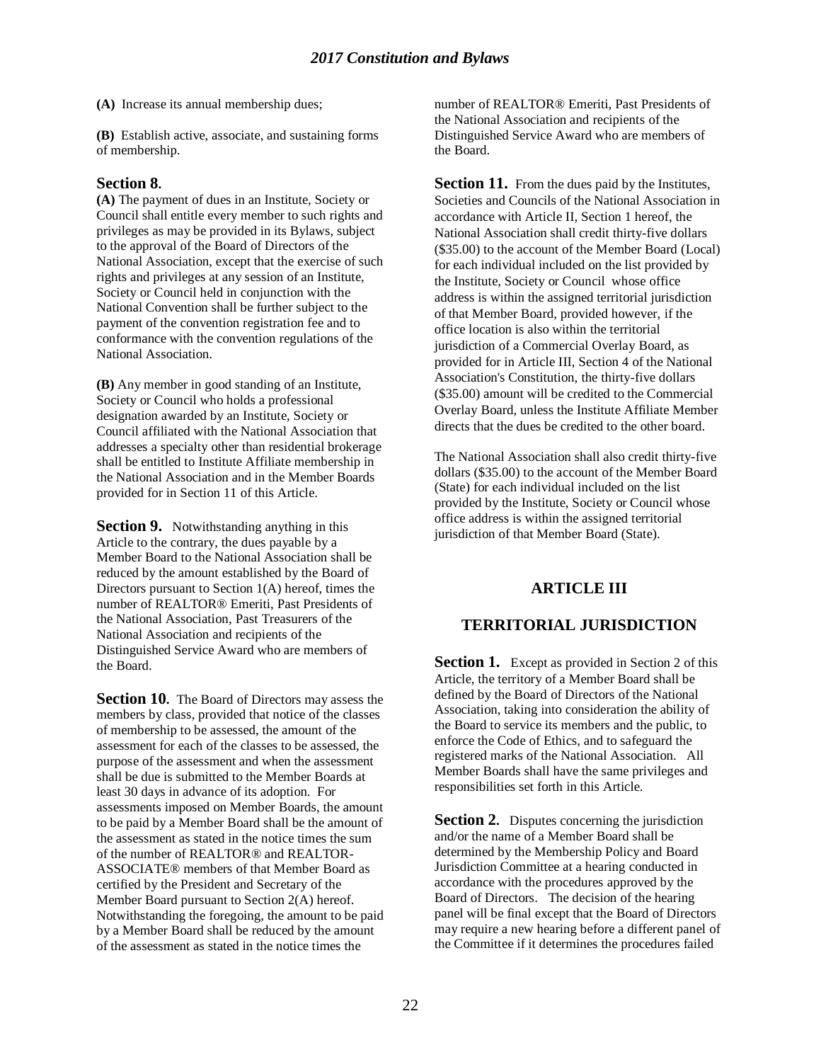**(A)** Increase its annual membership dues;

**(B)** Establish active, associate, and sustaining forms of membership.

#### **Section 8.**

**(A)** The payment of dues in an Institute, Society or Council shall entitle every member to such rights and privileges as may be provided in its Bylaws, subject to the approval of the Board of Directors of the National Association, except that the exercise of such rights and privileges at any session of an Institute, Society or Council held in conjunction with the National Convention shall be further subject to the payment of the convention registration fee and to conformance with the convention regulations of the National Association.

**(B)** Any member in good standing of an Institute, Society or Council who holds a professional designation awarded by an Institute, Society or Council affiliated with the National Association that addresses a specialty other than residential brokerage shall be entitled to Institute Affiliate membership in the National Association and in the Member Boards provided for in Section 11 of this Article.

**Section 9.** Notwithstanding anything in this Article to the contrary, the dues payable by a Member Board to the National Association shall be reduced by the amount established by the Board of Directors pursuant to Section 1(A) hereof, times the number of REALTOR® Emeriti, Past Presidents of the National Association, Past Treasurers of the National Association and recipients of the Distinguished Service Award who are members of the Board.

**Section 10.** The Board of Directors may assess the members by class, provided that notice of the classes of membership to be assessed, the amount of the assessment for each of the classes to be assessed, the purpose of the assessment and when the assessment shall be due is submitted to the Member Boards at least 30 days in advance of its adoption. For assessments imposed on Member Boards, the amount to be paid by a Member Board shall be the amount of the assessment as stated in the notice times the sum of the number of REALTOR® and REALTOR-ASSOCIATE® members of that Member Board as certified by the President and Secretary of the Member Board pursuant to Section 2(A) hereof. Notwithstanding the foregoing, the amount to be paid by a Member Board shall be reduced by the amount of the assessment as stated in the notice times the

number of REALTOR® Emeriti, Past Presidents of the National Association and recipients of the Distinguished Service Award who are members of the Board.

**Section 11.** From the dues paid by the Institutes, Societies and Councils of the National Association in accordance with Article II, Section 1 hereof, the National Association shall credit thirty-five dollars (\$35.00) to the account of the Member Board (Local) for each individual included on the list provided by the Institute, Society or Council whose office address is within the assigned territorial jurisdiction of that Member Board, provided however, if the office location is also within the territorial jurisdiction of a Commercial Overlay Board, as provided for in Article III, Section 4 of the National Association's Constitution, the thirty-five dollars (\$35.00) amount will be credited to the Commercial Overlay Board, unless the Institute Affiliate Member directs that the dues be credited to the other board.

The National Association shall also credit thirty-five dollars (\$35.00) to the account of the Member Board (State) for each individual included on the list provided by the Institute, Society or Council whose office address is within the assigned territorial jurisdiction of that Member Board (State).

# **ARTICLE III**

# **TERRITORIAL JURISDICTION**

**Section 1.** Except as provided in Section 2 of this Article, the territory of a Member Board shall be defined by the Board of Directors of the National Association, taking into consideration the ability of the Board to service its members and the public, to enforce the Code of Ethics, and to safeguard the registered marks of the National Association. All Member Boards shall have the same privileges and responsibilities set forth in this Article.

**Section 2.** Disputes concerning the jurisdiction and/or the name of a Member Board shall be determined by the Membership Policy and Board Jurisdiction Committee at a hearing conducted in accordance with the procedures approved by the Board of Directors. The decision of the hearing panel will be final except that the Board of Directors may require a new hearing before a different panel of the Committee if it determines the procedures failed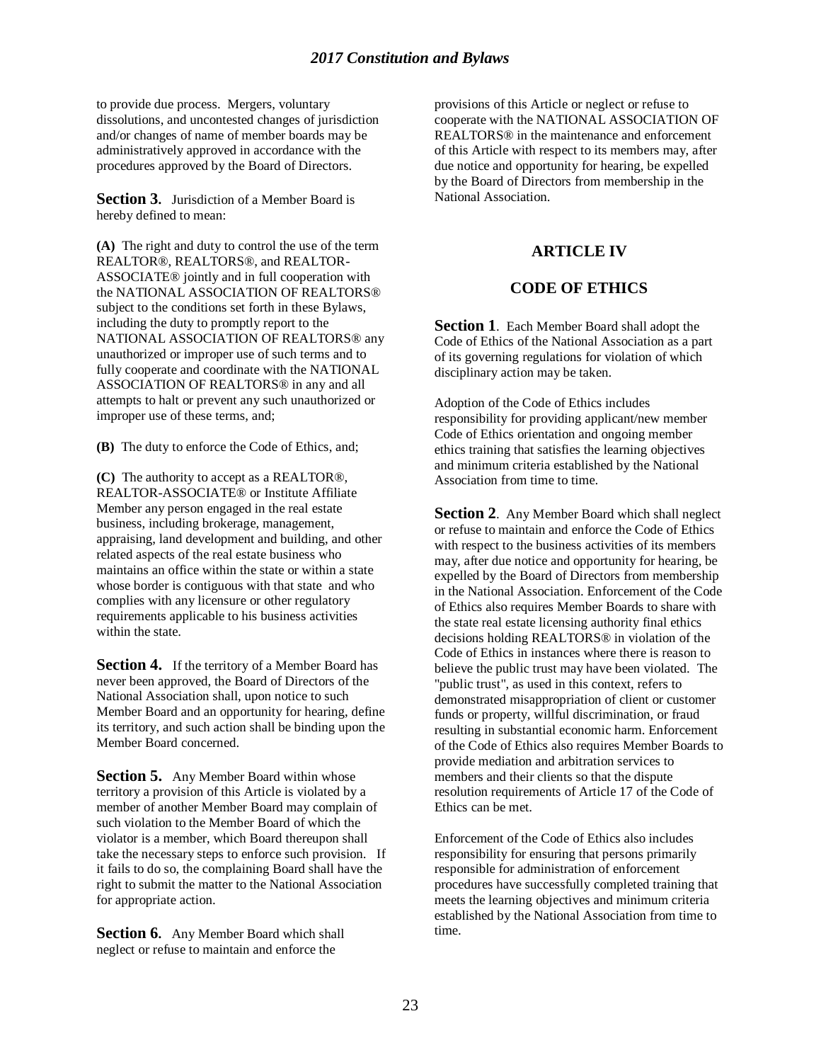to provide due process. Mergers, voluntary dissolutions, and uncontested changes of jurisdiction and/or changes of name of member boards may be administratively approved in accordance with the procedures approved by the Board of Directors.

**Section 3.** Jurisdiction of a Member Board is hereby defined to mean:

**(A)** The right and duty to control the use of the term REALTOR®, REALTORS®, and REALTOR-ASSOCIATE® jointly and in full cooperation with the NATIONAL ASSOCIATION OF REALTORS® subject to the conditions set forth in these Bylaws, including the duty to promptly report to the NATIONAL ASSOCIATION OF REALTORS® any unauthorized or improper use of such terms and to fully cooperate and coordinate with the NATIONAL ASSOCIATION OF REALTORS® in any and all attempts to halt or prevent any such unauthorized or improper use of these terms, and;

**(B)** The duty to enforce the Code of Ethics, and;

**(C)** The authority to accept as a REALTOR®, REALTOR-ASSOCIATE® or Institute Affiliate Member any person engaged in the real estate business, including brokerage, management, appraising, land development and building, and other related aspects of the real estate business who maintains an office within the state or within a state whose border is contiguous with that state and who complies with any licensure or other regulatory requirements applicable to his business activities within the state.

**Section 4.** If the territory of a Member Board has never been approved, the Board of Directors of the National Association shall, upon notice to such Member Board and an opportunity for hearing, define its territory, and such action shall be binding upon the Member Board concerned.

**Section 5.** Any Member Board within whose territory a provision of this Article is violated by a member of another Member Board may complain of such violation to the Member Board of which the violator is a member, which Board thereupon shall take the necessary steps to enforce such provision. If it fails to do so, the complaining Board shall have the right to submit the matter to the National Association for appropriate action.

**Section 6.** Any Member Board which shall neglect or refuse to maintain and enforce the

provisions of this Article or neglect or refuse to cooperate with the NATIONAL ASSOCIATION OF REALTORS® in the maintenance and enforcement of this Article with respect to its members may, after due notice and opportunity for hearing, be expelled by the Board of Directors from membership in the National Association.

# **ARTICLE IV**

# **CODE OF ETHICS**

**Section 1**. Each Member Board shall adopt the Code of Ethics of the National Association as a part of its governing regulations for violation of which disciplinary action may be taken.

Adoption of the Code of Ethics includes responsibility for providing applicant/new member Code of Ethics orientation and ongoing member ethics training that satisfies the learning objectives and minimum criteria established by the National Association from time to time.

**Section 2.** Any Member Board which shall neglect or refuse to maintain and enforce the Code of Ethics with respect to the business activities of its members may, after due notice and opportunity for hearing, be expelled by the Board of Directors from membership in the National Association. Enforcement of the Code of Ethics also requires Member Boards to share with the state real estate licensing authority final ethics decisions holding REALTORS® in violation of the Code of Ethics in instances where there is reason to believe the public trust may have been violated. The "public trust", as used in this context, refers to demonstrated misappropriation of client or customer funds or property, willful discrimination, or fraud resulting in substantial economic harm. Enforcement of the Code of Ethics also requires Member Boards to provide mediation and arbitration services to members and their clients so that the dispute resolution requirements of Article 17 of the Code of Ethics can be met.

Enforcement of the Code of Ethics also includes responsibility for ensuring that persons primarily responsible for administration of enforcement procedures have successfully completed training that meets the learning objectives and minimum criteria established by the National Association from time to time.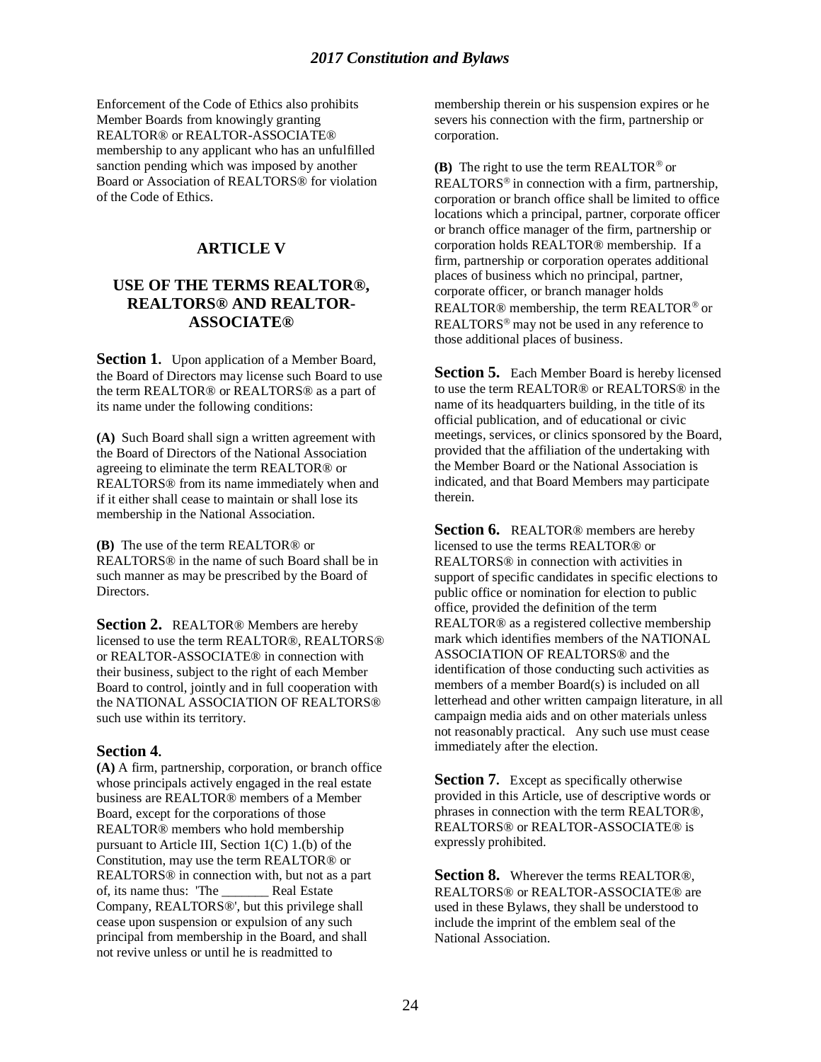Enforcement of the Code of Ethics also prohibits Member Boards from knowingly granting REALTOR® or REALTOR-ASSOCIATE® membership to any applicant who has an unfulfilled sanction pending which was imposed by another Board or Association of REALTORS® for violation of the Code of Ethics.

# **ARTICLE V**

# **USE OF THE TERMS REALTOR®, REALTORS® AND REALTOR-ASSOCIATE®**

**Section 1.** Upon application of a Member Board, the Board of Directors may license such Board to use the term REALTOR® or REALTORS® as a part of its name under the following conditions:

**(A)** Such Board shall sign a written agreement with the Board of Directors of the National Association agreeing to eliminate the term REALTOR® or REALTORS® from its name immediately when and if it either shall cease to maintain or shall lose its membership in the National Association.

**(B)** The use of the term REALTOR® or REALTORS® in the name of such Board shall be in such manner as may be prescribed by the Board of Directors.

**Section 2.** REALTOR® Members are hereby licensed to use the term REALTOR®, REALTORS® or REALTOR-ASSOCIATE® in connection with their business, subject to the right of each Member Board to control, jointly and in full cooperation with the NATIONAL ASSOCIATION OF REALTORS® such use within its territory.

## **Section 4.**

**(A)** A firm, partnership, corporation, or branch office whose principals actively engaged in the real estate business are REALTOR® members of a Member Board, except for the corporations of those REALTOR® members who hold membership pursuant to Article III, Section 1(C) 1.(b) of the Constitution, may use the term REALTOR® or REALTORS® in connection with, but not as a part of, its name thus: 'The \_\_\_\_\_\_\_ Real Estate Company, REALTORS®', but this privilege shall cease upon suspension or expulsion of any such principal from membership in the Board, and shall not revive unless or until he is readmitted to

membership therein or his suspension expires or he severs his connection with the firm, partnership or corporation.

**(B)** The right to use the term REALTOR<sup> $\circledcirc$ </sup> or REALTORS<sup>®</sup> in connection with a firm, partnership, corporation or branch office shall be limited to office locations which a principal, partner, corporate officer or branch office manager of the firm, partnership or corporation holds REALTOR® membership. If a firm, partnership or corporation operates additional places of business which no principal, partner, corporate officer, or branch manager holds REALTOR<sup>®</sup> membership, the term REALTOR<sup>®</sup> or REALTORS<sup>®</sup> may not be used in any reference to those additional places of business.

**Section 5.** Each Member Board is hereby licensed to use the term REALTOR® or REALTORS® in the name of its headquarters building, in the title of its official publication, and of educational or civic meetings, services, or clinics sponsored by the Board, provided that the affiliation of the undertaking with the Member Board or the National Association is indicated, and that Board Members may participate therein.

**Section 6.** REALTOR® members are hereby licensed to use the terms REALTOR® or REALTORS® in connection with activities in support of specific candidates in specific elections to public office or nomination for election to public office, provided the definition of the term REALTOR® as a registered collective membership mark which identifies members of the NATIONAL ASSOCIATION OF REALTORS® and the identification of those conducting such activities as members of a member Board(s) is included on all letterhead and other written campaign literature, in all campaign media aids and on other materials unless not reasonably practical. Any such use must cease immediately after the election.

**Section 7.** Except as specifically otherwise provided in this Article, use of descriptive words or phrases in connection with the term REALTOR®, REALTORS® or REALTOR-ASSOCIATE® is expressly prohibited.

**Section 8.** Wherever the terms REALTOR®, REALTORS® or REALTOR-ASSOCIATE® are used in these Bylaws, they shall be understood to include the imprint of the emblem seal of the National Association.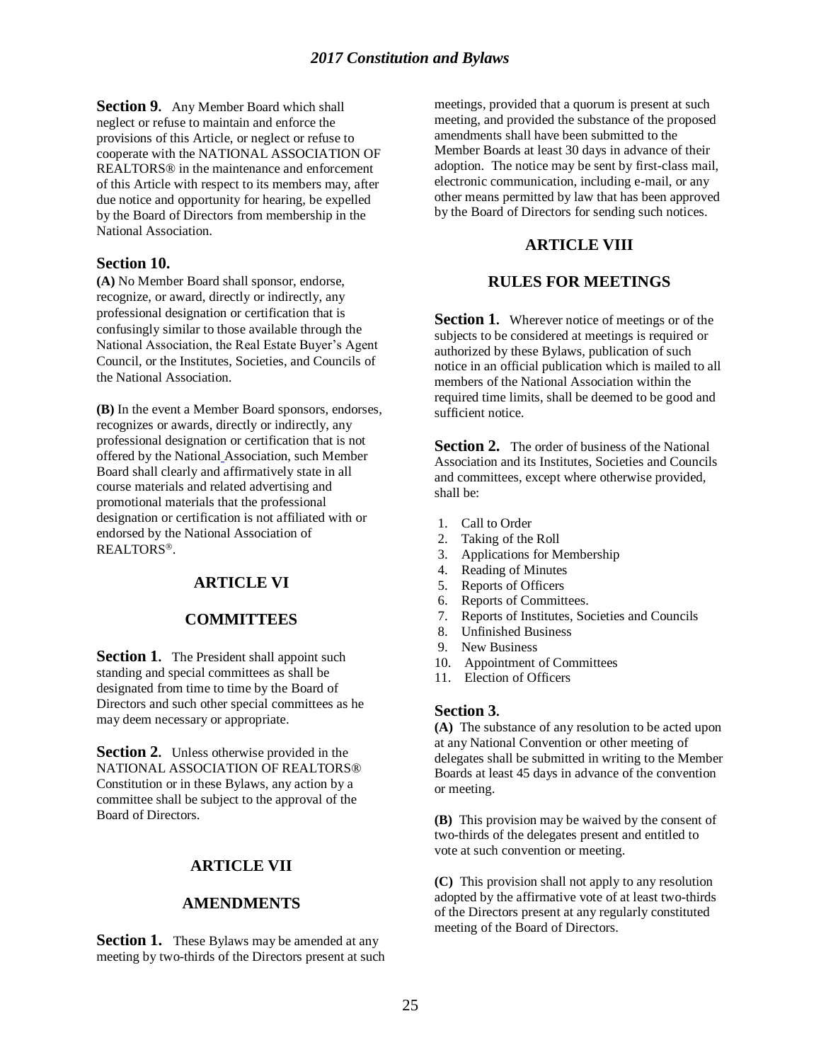**Section 9.** Any Member Board which shall neglect or refuse to maintain and enforce the provisions of this Article, or neglect or refuse to cooperate with the NATIONAL ASSOCIATION OF REALTORS® in the maintenance and enforcement of this Article with respect to its members may, after due notice and opportunity for hearing, be expelled by the Board of Directors from membership in the National Association.

#### **Section 10.**

**(A)** No Member Board shall sponsor, endorse, recognize, or award, directly or indirectly, any professional designation or certification that is confusingly similar to those available through the National Association, the Real Estate Buyer's Agent Council, or the Institutes, Societies, and Councils of the National Association.

**(B)** In the event a Member Board sponsors, endorses, recognizes or awards, directly or indirectly, any professional designation or certification that is not offered by the National Association, such Member Board shall clearly and affirmatively state in all course materials and related advertising and promotional materials that the professional designation or certification is not affiliated with or endorsed by the National Association of REALTORS<sup>®</sup>.

## **ARTICLE VI**

#### **COMMITTEES**

**Section 1.** The President shall appoint such standing and special committees as shall be designated from time to time by the Board of Directors and such other special committees as he may deem necessary or appropriate.

**Section 2.** Unless otherwise provided in the NATIONAL ASSOCIATION OF REALTORS® Constitution or in these Bylaws, any action by a committee shall be subject to the approval of the Board of Directors.

## **ARTICLE VII**

#### **AMENDMENTS**

**Section 1.** These Bylaws may be amended at any meeting by two-thirds of the Directors present at such meetings, provided that a quorum is present at such meeting, and provided the substance of the proposed amendments shall have been submitted to the Member Boards at least 30 days in advance of their adoption. The notice may be sent by first-class mail, electronic communication, including e-mail, or any other means permitted by law that has been approved by the Board of Directors for sending such notices.

#### **ARTICLE VIII**

#### **RULES FOR MEETINGS**

**Section 1.** Wherever notice of meetings or of the subjects to be considered at meetings is required or authorized by these Bylaws, publication of such notice in an official publication which is mailed to all members of the National Association within the required time limits, shall be deemed to be good and sufficient notice.

**Section 2.** The order of business of the National Association and its Institutes, Societies and Councils and committees, except where otherwise provided, shall be:

- 1. Call to Order
- 2. Taking of the Roll
- 3. Applications for Membership
- 4. Reading of Minutes
- 5. Reports of Officers
- 6. Reports of Committees.
- 7. Reports of Institutes, Societies and Councils
- 8. Unfinished Business
- 9. New Business
- 10. Appointment of Committees
- 11. Election of Officers

#### **Section 3.**

**(A)** The substance of any resolution to be acted upon at any National Convention or other meeting of delegates shall be submitted in writing to the Member Boards at least 45 days in advance of the convention or meeting.

**(B)** This provision may be waived by the consent of two-thirds of the delegates present and entitled to vote at such convention or meeting.

**(C)** This provision shall not apply to any resolution adopted by the affirmative vote of at least two-thirds of the Directors present at any regularly constituted meeting of the Board of Directors.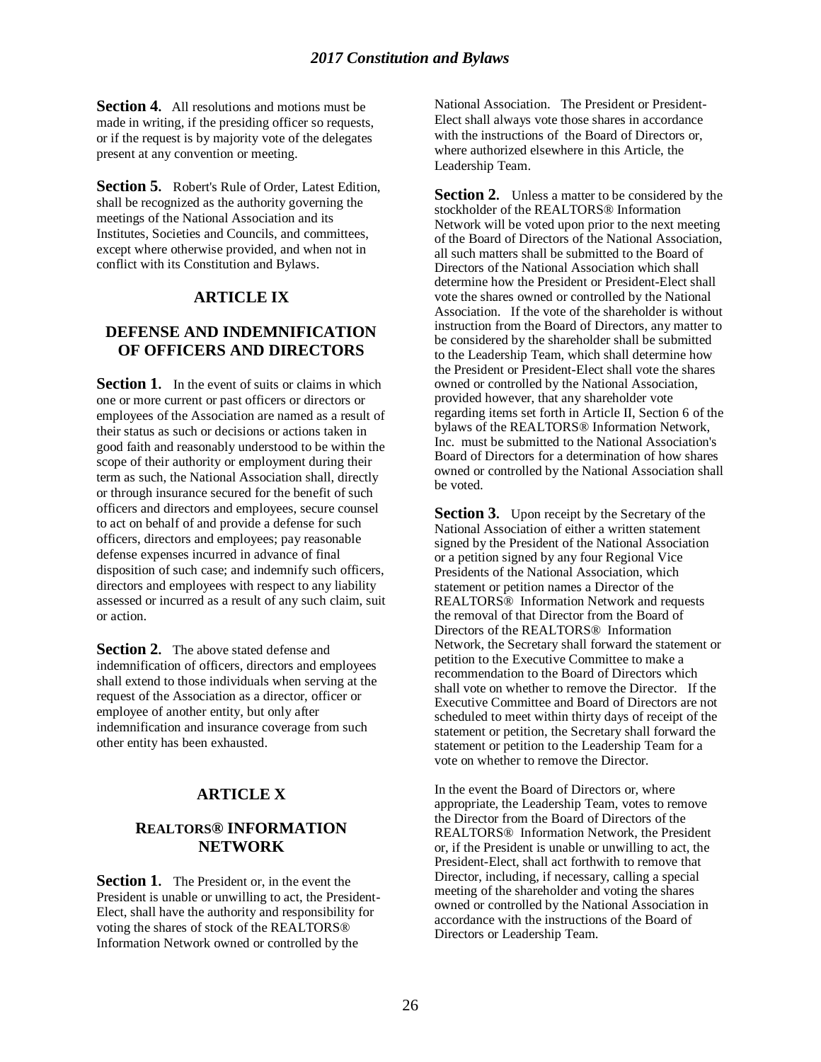**Section 4.** All resolutions and motions must be made in writing, if the presiding officer so requests, or if the request is by majority vote of the delegates present at any convention or meeting.

**Section 5.** Robert's Rule of Order, Latest Edition, shall be recognized as the authority governing the meetings of the National Association and its Institutes, Societies and Councils, and committees, except where otherwise provided, and when not in conflict with its Constitution and Bylaws.

# **ARTICLE IX**

# **DEFENSE AND INDEMNIFICATION OF OFFICERS AND DIRECTORS**

**Section 1.** In the event of suits or claims in which one or more current or past officers or directors or employees of the Association are named as a result of their status as such or decisions or actions taken in good faith and reasonably understood to be within the scope of their authority or employment during their term as such, the National Association shall, directly or through insurance secured for the benefit of such officers and directors and employees, secure counsel to act on behalf of and provide a defense for such officers, directors and employees; pay reasonable defense expenses incurred in advance of final disposition of such case; and indemnify such officers, directors and employees with respect to any liability assessed or incurred as a result of any such claim, suit or action.

**Section 2.** The above stated defense and indemnification of officers, directors and employees shall extend to those individuals when serving at the request of the Association as a director, officer or employee of another entity, but only after indemnification and insurance coverage from such other entity has been exhausted.

#### **ARTICLE X**

#### **REALTORS® INFORMATION NETWORK**

**Section 1.** The President or, in the event the President is unable or unwilling to act, the President-Elect, shall have the authority and responsibility for voting the shares of stock of the REALTORS® Information Network owned or controlled by the

National Association. The President or President-Elect shall always vote those shares in accordance with the instructions of the Board of Directors or, where authorized elsewhere in this Article, the Leadership Team.

**Section 2.** Unless a matter to be considered by the stockholder of the REALTORS® Information Network will be voted upon prior to the next meeting of the Board of Directors of the National Association, all such matters shall be submitted to the Board of Directors of the National Association which shall determine how the President or President-Elect shall vote the shares owned or controlled by the National Association. If the vote of the shareholder is without instruction from the Board of Directors, any matter to be considered by the shareholder shall be submitted to the Leadership Team, which shall determine how the President or President-Elect shall vote the shares owned or controlled by the National Association, provided however, that any shareholder vote regarding items set forth in Article II, Section 6 of the bylaws of the REALTORS® Information Network, Inc. must be submitted to the National Association's Board of Directors for a determination of how shares owned or controlled by the National Association shall be voted.

**Section 3.** Upon receipt by the Secretary of the National Association of either a written statement signed by the President of the National Association or a petition signed by any four Regional Vice Presidents of the National Association, which statement or petition names a Director of the REALTORS® Information Network and requests the removal of that Director from the Board of Directors of the REALTORS® Information Network, the Secretary shall forward the statement or petition to the Executive Committee to make a recommendation to the Board of Directors which shall vote on whether to remove the Director. If the Executive Committee and Board of Directors are not scheduled to meet within thirty days of receipt of the statement or petition, the Secretary shall forward the statement or petition to the Leadership Team for a vote on whether to remove the Director.

In the event the Board of Directors or, where appropriate, the Leadership Team, votes to remove the Director from the Board of Directors of the REALTORS® Information Network, the President or, if the President is unable or unwilling to act, the President-Elect, shall act forthwith to remove that Director, including, if necessary, calling a special meeting of the shareholder and voting the shares owned or controlled by the National Association in accordance with the instructions of the Board of Directors or Leadership Team.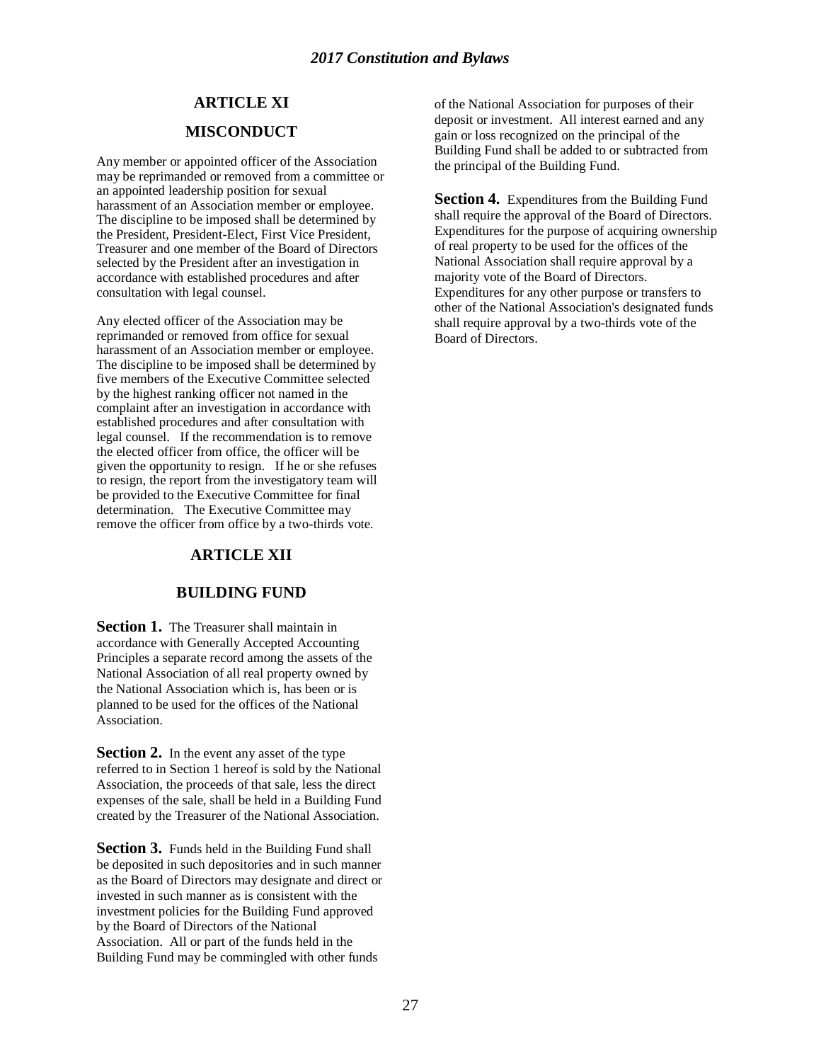# **ARTICLE XI MISCONDUCT**

Any member or appointed officer of the Association may be reprimanded or removed from a committee or an appointed leadership position for sexual harassment of an Association member or employee. The discipline to be imposed shall be determined by the President, President-Elect, First Vice President, Treasurer and one member of the Board of Directors selected by the President after an investigation in accordance with established procedures and after consultation with legal counsel.

Any elected officer of the Association may be reprimanded or removed from office for sexual harassment of an Association member or employee. The discipline to be imposed shall be determined by five members of the Executive Committee selected by the highest ranking officer not named in the complaint after an investigation in accordance with established procedures and after consultation with legal counsel. If the recommendation is to remove the elected officer from office, the officer will be given the opportunity to resign. If he or she refuses to resign, the report from the investigatory team will be provided to the Executive Committee for final determination. The Executive Committee may remove the officer from office by a two-thirds vote.

# **ARTICLE XII**

## **BUILDING FUND**

**Section 1.** The Treasurer shall maintain in accordance with Generally Accepted Accounting Principles a separate record among the assets of the National Association of all real property owned by the National Association which is, has been or is planned to be used for the offices of the National Association.

**Section 2.** In the event any asset of the type referred to in Section 1 hereof is sold by the National Association, the proceeds of that sale, less the direct expenses of the sale, shall be held in a Building Fund created by the Treasurer of the National Association.

**Section 3.** Funds held in the Building Fund shall be deposited in such depositories and in such manner as the Board of Directors may designate and direct or invested in such manner as is consistent with the investment policies for the Building Fund approved by the Board of Directors of the National Association. All or part of the funds held in the Building Fund may be commingled with other funds

of the National Association for purposes of their deposit or investment. All interest earned and any gain or loss recognized on the principal of the Building Fund shall be added to or subtracted from the principal of the Building Fund.

**Section 4.** Expenditures from the Building Fund shall require the approval of the Board of Directors. Expenditures for the purpose of acquiring ownership of real property to be used for the offices of the National Association shall require approval by a majority vote of the Board of Directors. Expenditures for any other purpose or transfers to other of the National Association's designated funds shall require approval by a two-thirds vote of the Board of Directors.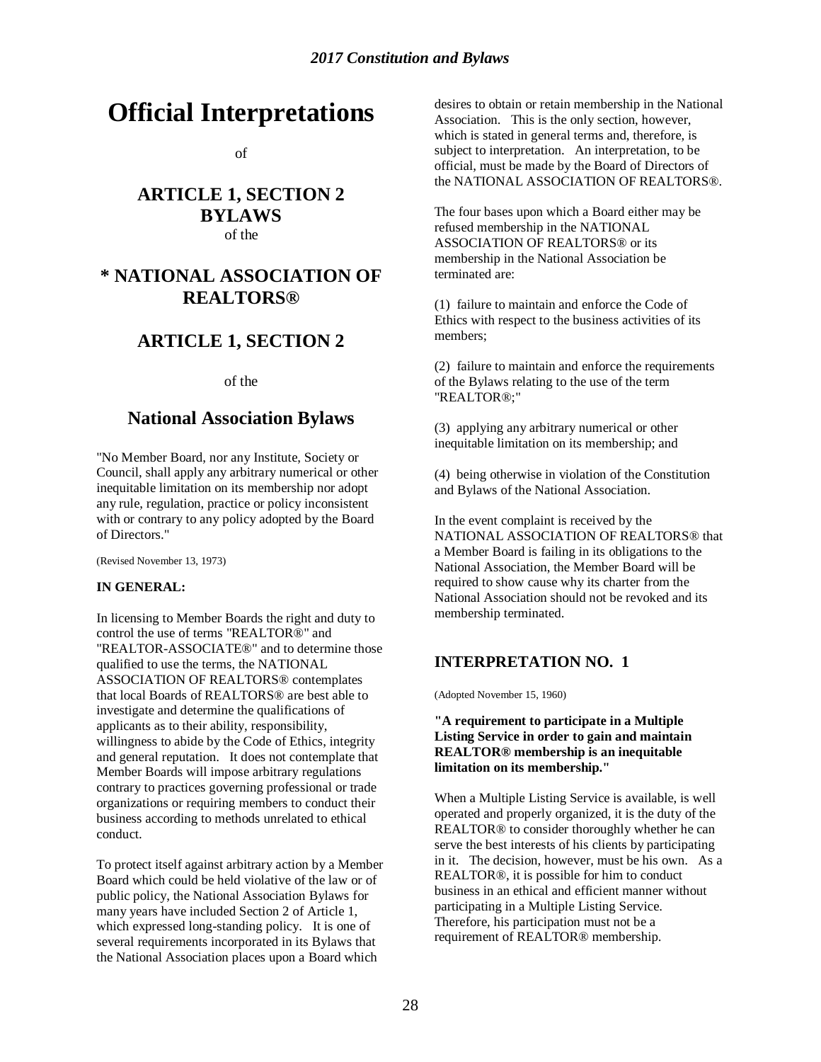# **Official Interpretations**

of

# **ARTICLE 1, SECTION 2 BYLAWS** of the

# **\* NATIONAL ASSOCIATION OF REALTORS®**

# **ARTICLE 1, SECTION 2**

of the

# **National Association Bylaws**

"No Member Board, nor any Institute, Society or Council, shall apply any arbitrary numerical or other inequitable limitation on its membership nor adopt any rule, regulation, practice or policy inconsistent with or contrary to any policy adopted by the Board of Directors."

(Revised November 13, 1973)

#### **IN GENERAL:**

In licensing to Member Boards the right and duty to control the use of terms "REALTOR®" and "REALTOR-ASSOCIATE®" and to determine those qualified to use the terms, the NATIONAL ASSOCIATION OF REALTORS® contemplates that local Boards of REALTORS® are best able to investigate and determine the qualifications of applicants as to their ability, responsibility, willingness to abide by the Code of Ethics, integrity and general reputation. It does not contemplate that Member Boards will impose arbitrary regulations contrary to practices governing professional or trade organizations or requiring members to conduct their business according to methods unrelated to ethical conduct.

To protect itself against arbitrary action by a Member Board which could be held violative of the law or of public policy, the National Association Bylaws for many years have included Section 2 of Article 1, which expressed long-standing policy. It is one of several requirements incorporated in its Bylaws that the National Association places upon a Board which

desires to obtain or retain membership in the National Association. This is the only section, however, which is stated in general terms and, therefore, is subject to interpretation. An interpretation, to be official, must be made by the Board of Directors of the NATIONAL ASSOCIATION OF REALTORS®.

The four bases upon which a Board either may be refused membership in the NATIONAL ASSOCIATION OF REALTORS® or its membership in the National Association be terminated are:

(1) failure to maintain and enforce the Code of Ethics with respect to the business activities of its members;

(2) failure to maintain and enforce the requirements of the Bylaws relating to the use of the term "REALTOR®;"

(3) applying any arbitrary numerical or other inequitable limitation on its membership; and

(4) being otherwise in violation of the Constitution and Bylaws of the National Association.

In the event complaint is received by the NATIONAL ASSOCIATION OF REALTORS® that a Member Board is failing in its obligations to the National Association, the Member Board will be required to show cause why its charter from the National Association should not be revoked and its membership terminated.

# **INTERPRETATION NO. 1**

(Adopted November 15, 1960)

#### **"A requirement to participate in a Multiple Listing Service in order to gain and maintain REALTOR® membership is an inequitable limitation on its membership."**

When a Multiple Listing Service is available, is well operated and properly organized, it is the duty of the REALTOR® to consider thoroughly whether he can serve the best interests of his clients by participating in it. The decision, however, must be his own. As a REALTOR®, it is possible for him to conduct business in an ethical and efficient manner without participating in a Multiple Listing Service. Therefore, his participation must not be a requirement of REALTOR® membership.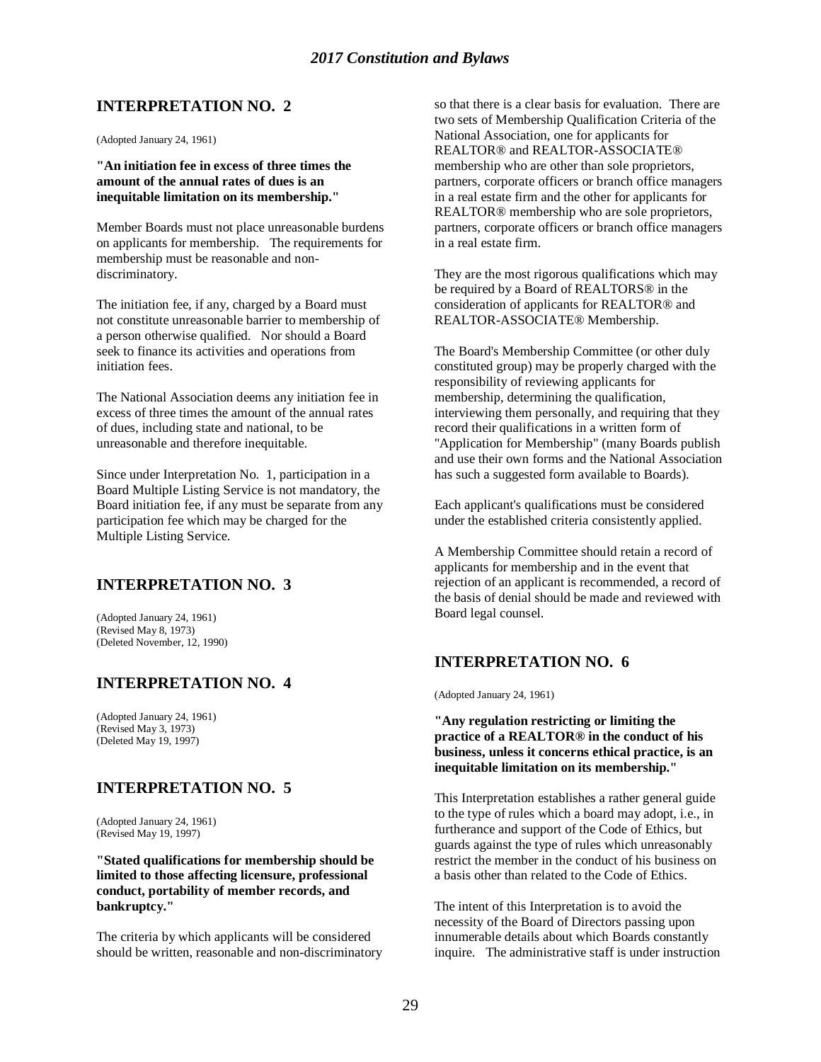(Adopted January 24, 1961)

**"An initiation fee in excess of three times the amount of the annual rates of dues is an inequitable limitation on its membership."**

Member Boards must not place unreasonable burdens on applicants for membership. The requirements for membership must be reasonable and nondiscriminatory.

The initiation fee, if any, charged by a Board must not constitute unreasonable barrier to membership of a person otherwise qualified. Nor should a Board seek to finance its activities and operations from initiation fees.

The National Association deems any initiation fee in excess of three times the amount of the annual rates of dues, including state and national, to be unreasonable and therefore inequitable.

Since under Interpretation No. 1, participation in a Board Multiple Listing Service is not mandatory, the Board initiation fee, if any must be separate from any participation fee which may be charged for the Multiple Listing Service.

## **INTERPRETATION NO. 3**

(Adopted January 24, 1961) (Revised May 8, 1973) (Deleted November, 12, 1990)

## **INTERPRETATION NO. 4**

(Adopted January 24, 1961) (Revised May 3, 1973) (Deleted May 19, 1997)

## **INTERPRETATION NO. 5**

(Adopted January 24, 1961) (Revised May 19, 1997)

**"Stated qualifications for membership should be limited to those affecting licensure, professional conduct, portability of member records, and bankruptcy."**

The criteria by which applicants will be considered should be written, reasonable and non-discriminatory so that there is a clear basis for evaluation. There are two sets of Membership Qualification Criteria of the National Association, one for applicants for REALTOR® and REALTOR-ASSOCIATE® membership who are other than sole proprietors, partners, corporate officers or branch office managers in a real estate firm and the other for applicants for REALTOR® membership who are sole proprietors, partners, corporate officers or branch office managers in a real estate firm.

They are the most rigorous qualifications which may be required by a Board of REALTORS® in the consideration of applicants for REALTOR® and REALTOR-ASSOCIATE® Membership.

The Board's Membership Committee (or other duly constituted group) may be properly charged with the responsibility of reviewing applicants for membership, determining the qualification, interviewing them personally, and requiring that they record their qualifications in a written form of "Application for Membership" (many Boards publish and use their own forms and the National Association has such a suggested form available to Boards).

Each applicant's qualifications must be considered under the established criteria consistently applied.

A Membership Committee should retain a record of applicants for membership and in the event that rejection of an applicant is recommended, a record of the basis of denial should be made and reviewed with Board legal counsel.

## **INTERPRETATION NO. 6**

(Adopted January 24, 1961)

**"Any regulation restricting or limiting the practice of a REALTOR® in the conduct of his business, unless it concerns ethical practice, is an inequitable limitation on its membership."**

This Interpretation establishes a rather general guide to the type of rules which a board may adopt, i.e., in furtherance and support of the Code of Ethics, but guards against the type of rules which unreasonably restrict the member in the conduct of his business on a basis other than related to the Code of Ethics.

The intent of this Interpretation is to avoid the necessity of the Board of Directors passing upon innumerable details about which Boards constantly inquire. The administrative staff is under instruction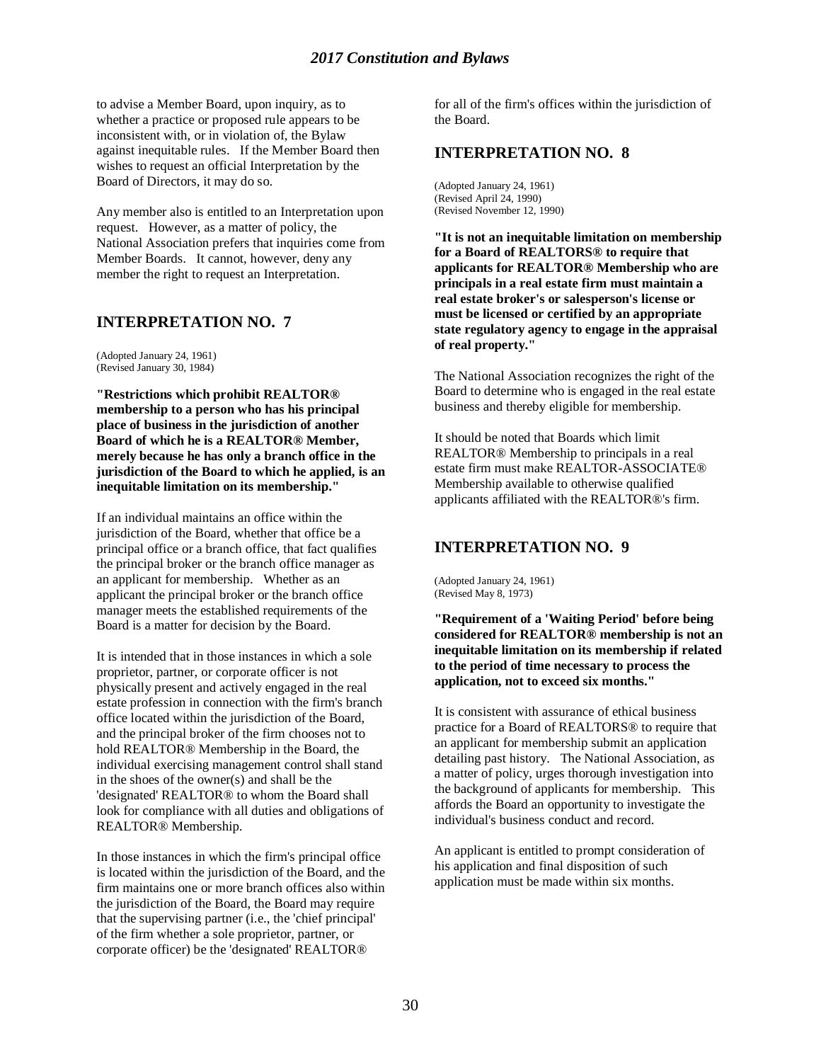to advise a Member Board, upon inquiry, as to whether a practice or proposed rule appears to be inconsistent with, or in violation of, the Bylaw against inequitable rules. If the Member Board then wishes to request an official Interpretation by the Board of Directors, it may do so.

Any member also is entitled to an Interpretation upon request. However, as a matter of policy, the National Association prefers that inquiries come from Member Boards. It cannot, however, deny any member the right to request an Interpretation.

## **INTERPRETATION NO. 7**

(Adopted January 24, 1961) (Revised January 30, 1984)

**"Restrictions which prohibit REALTOR® membership to a person who has his principal place of business in the jurisdiction of another Board of which he is a REALTOR® Member, merely because he has only a branch office in the jurisdiction of the Board to which he applied, is an inequitable limitation on its membership."**

If an individual maintains an office within the jurisdiction of the Board, whether that office be a principal office or a branch office, that fact qualifies the principal broker or the branch office manager as an applicant for membership. Whether as an applicant the principal broker or the branch office manager meets the established requirements of the Board is a matter for decision by the Board.

It is intended that in those instances in which a sole proprietor, partner, or corporate officer is not physically present and actively engaged in the real estate profession in connection with the firm's branch office located within the jurisdiction of the Board, and the principal broker of the firm chooses not to hold REALTOR® Membership in the Board, the individual exercising management control shall stand in the shoes of the owner(s) and shall be the 'designated' REALTOR® to whom the Board shall look for compliance with all duties and obligations of REALTOR® Membership.

In those instances in which the firm's principal office is located within the jurisdiction of the Board, and the firm maintains one or more branch offices also within the jurisdiction of the Board, the Board may require that the supervising partner (i.e., the 'chief principal' of the firm whether a sole proprietor, partner, or corporate officer) be the 'designated' REALTOR®

for all of the firm's offices within the jurisdiction of the Board.

#### **INTERPRETATION NO. 8**

(Adopted January 24, 1961) (Revised April 24, 1990) (Revised November 12, 1990)

**"It is not an inequitable limitation on membership for a Board of REALTORS® to require that applicants for REALTOR® Membership who are principals in a real estate firm must maintain a real estate broker's or salesperson's license or must be licensed or certified by an appropriate state regulatory agency to engage in the appraisal of real property."**

The National Association recognizes the right of the Board to determine who is engaged in the real estate business and thereby eligible for membership.

It should be noted that Boards which limit REALTOR® Membership to principals in a real estate firm must make REALTOR-ASSOCIATE® Membership available to otherwise qualified applicants affiliated with the REALTOR®'s firm.

## **INTERPRETATION NO. 9**

(Adopted January 24, 1961) (Revised May 8, 1973)

**"Requirement of a 'Waiting Period' before being considered for REALTOR® membership is not an inequitable limitation on its membership if related to the period of time necessary to process the application, not to exceed six months."**

It is consistent with assurance of ethical business practice for a Board of REALTORS® to require that an applicant for membership submit an application detailing past history. The National Association, as a matter of policy, urges thorough investigation into the background of applicants for membership. This affords the Board an opportunity to investigate the individual's business conduct and record.

An applicant is entitled to prompt consideration of his application and final disposition of such application must be made within six months.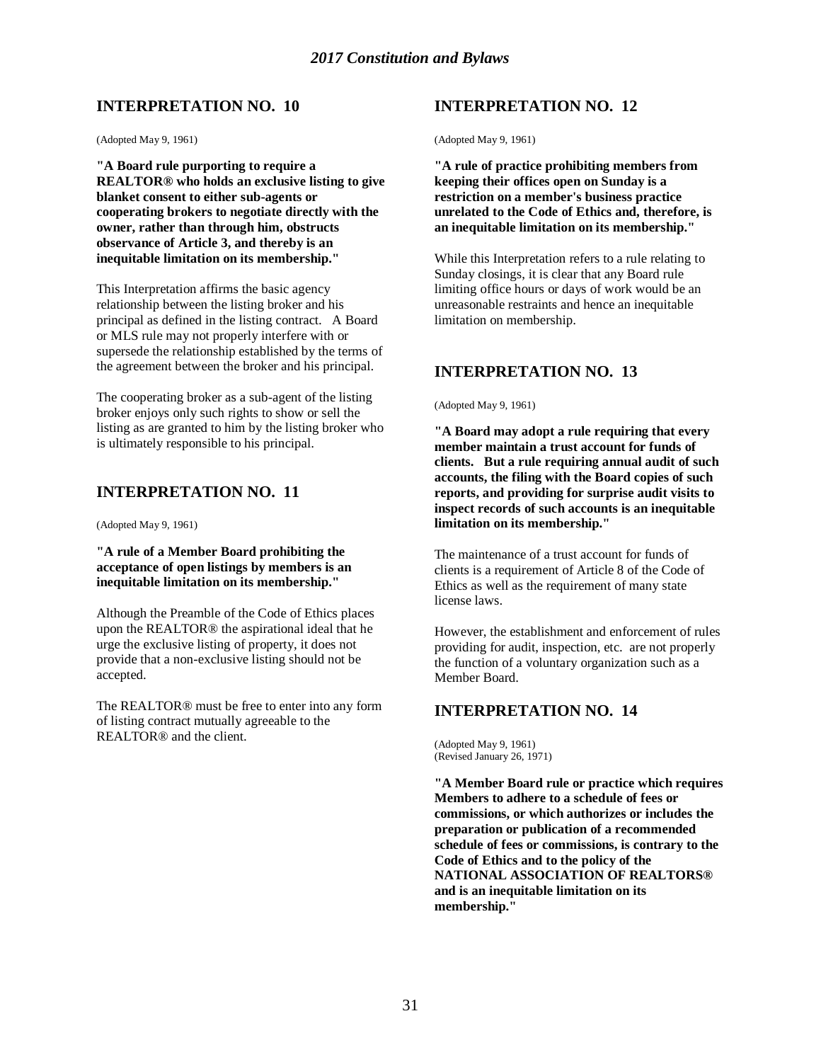(Adopted May 9, 1961)

**"A Board rule purporting to require a REALTOR® who holds an exclusive listing to give blanket consent to either sub-agents or cooperating brokers to negotiate directly with the owner, rather than through him, obstructs observance of Article 3, and thereby is an inequitable limitation on its membership."**

This Interpretation affirms the basic agency relationship between the listing broker and his principal as defined in the listing contract. A Board or MLS rule may not properly interfere with or supersede the relationship established by the terms of the agreement between the broker and his principal.

The cooperating broker as a sub-agent of the listing broker enjoys only such rights to show or sell the listing as are granted to him by the listing broker who is ultimately responsible to his principal.

## **INTERPRETATION NO. 11**

(Adopted May 9, 1961)

**"A rule of a Member Board prohibiting the acceptance of open listings by members is an inequitable limitation on its membership."**

Although the Preamble of the Code of Ethics places upon the REALTOR® the aspirational ideal that he urge the exclusive listing of property, it does not provide that a non-exclusive listing should not be accepted.

The REALTOR® must be free to enter into any form of listing contract mutually agreeable to the REALTOR® and the client.

# **INTERPRETATION NO. 12**

(Adopted May 9, 1961)

**"A rule of practice prohibiting members from keeping their offices open on Sunday is a restriction on a member's business practice unrelated to the Code of Ethics and, therefore, is an inequitable limitation on its membership."**

While this Interpretation refers to a rule relating to Sunday closings, it is clear that any Board rule limiting office hours or days of work would be an unreasonable restraints and hence an inequitable limitation on membership.

# **INTERPRETATION NO. 13**

(Adopted May 9, 1961)

**"A Board may adopt a rule requiring that every member maintain a trust account for funds of clients. But a rule requiring annual audit of such accounts, the filing with the Board copies of such reports, and providing for surprise audit visits to inspect records of such accounts is an inequitable limitation on its membership."**

The maintenance of a trust account for funds of clients is a requirement of Article 8 of the Code of Ethics as well as the requirement of many state license laws.

However, the establishment and enforcement of rules providing for audit, inspection, etc. are not properly the function of a voluntary organization such as a Member Board.

#### **INTERPRETATION NO. 14**

(Adopted May 9, 1961) (Revised January 26, 1971)

**"A Member Board rule or practice which requires Members to adhere to a schedule of fees or commissions, or which authorizes or includes the preparation or publication of a recommended schedule of fees or commissions, is contrary to the Code of Ethics and to the policy of the NATIONAL ASSOCIATION OF REALTORS® and is an inequitable limitation on its membership."**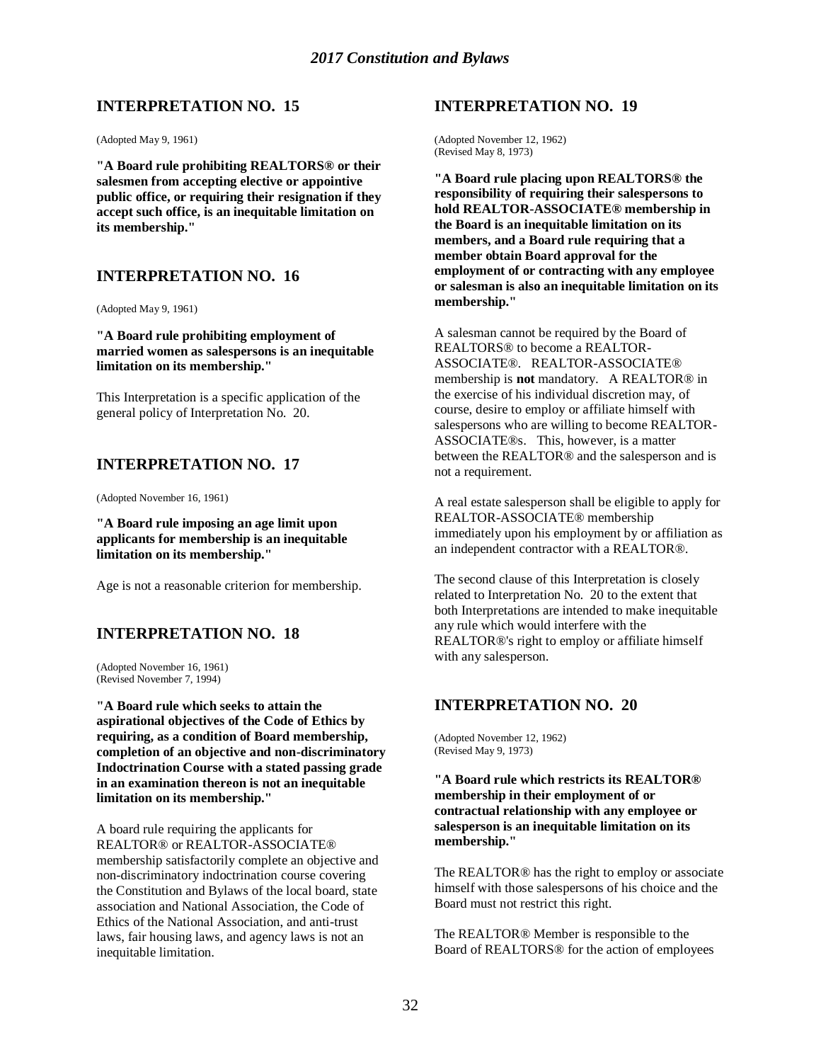(Adopted May 9, 1961)

**"A Board rule prohibiting REALTORS® or their salesmen from accepting elective or appointive public office, or requiring their resignation if they accept such office, is an inequitable limitation on its membership."**

#### **INTERPRETATION NO. 16**

(Adopted May 9, 1961)

**"A Board rule prohibiting employment of married women as salespersons is an inequitable limitation on its membership."**

This Interpretation is a specific application of the general policy of Interpretation No. 20.

#### **INTERPRETATION NO. 17**

(Adopted November 16, 1961)

**"A Board rule imposing an age limit upon applicants for membership is an inequitable limitation on its membership."**

Age is not a reasonable criterion for membership.

#### **INTERPRETATION NO. 18**

(Adopted November 16, 1961) (Revised November 7, 1994)

**"A Board rule which seeks to attain the aspirational objectives of the Code of Ethics by requiring, as a condition of Board membership, completion of an objective and non-discriminatory Indoctrination Course with a stated passing grade in an examination thereon is not an inequitable limitation on its membership."**

A board rule requiring the applicants for REALTOR® or REALTOR-ASSOCIATE® membership satisfactorily complete an objective and non-discriminatory indoctrination course covering the Constitution and Bylaws of the local board, state association and National Association, the Code of Ethics of the National Association, and anti-trust laws, fair housing laws, and agency laws is not an inequitable limitation.

#### **INTERPRETATION NO. 19**

(Adopted November 12, 1962) (Revised May 8, 1973)

**"A Board rule placing upon REALTORS® the responsibility of requiring their salespersons to hold REALTOR-ASSOCIATE® membership in the Board is an inequitable limitation on its members, and a Board rule requiring that a member obtain Board approval for the employment of or contracting with any employee or salesman is also an inequitable limitation on its membership."**

A salesman cannot be required by the Board of REALTORS® to become a REALTOR-ASSOCIATE®. REALTOR-ASSOCIATE® membership is **not** mandatory. A REALTOR® in the exercise of his individual discretion may, of course, desire to employ or affiliate himself with salespersons who are willing to become REALTOR-ASSOCIATE®s. This, however, is a matter between the REALTOR® and the salesperson and is not a requirement.

A real estate salesperson shall be eligible to apply for REALTOR-ASSOCIATE® membership immediately upon his employment by or affiliation as an independent contractor with a REALTOR®.

The second clause of this Interpretation is closely related to Interpretation No. 20 to the extent that both Interpretations are intended to make inequitable any rule which would interfere with the REALTOR®'s right to employ or affiliate himself with any salesperson.

#### **INTERPRETATION NO. 20**

(Adopted November 12, 1962) (Revised May 9, 1973)

**"A Board rule which restricts its REALTOR® membership in their employment of or contractual relationship with any employee or salesperson is an inequitable limitation on its membership."**

The REALTOR® has the right to employ or associate himself with those salespersons of his choice and the Board must not restrict this right.

The REALTOR® Member is responsible to the Board of REALTORS® for the action of employees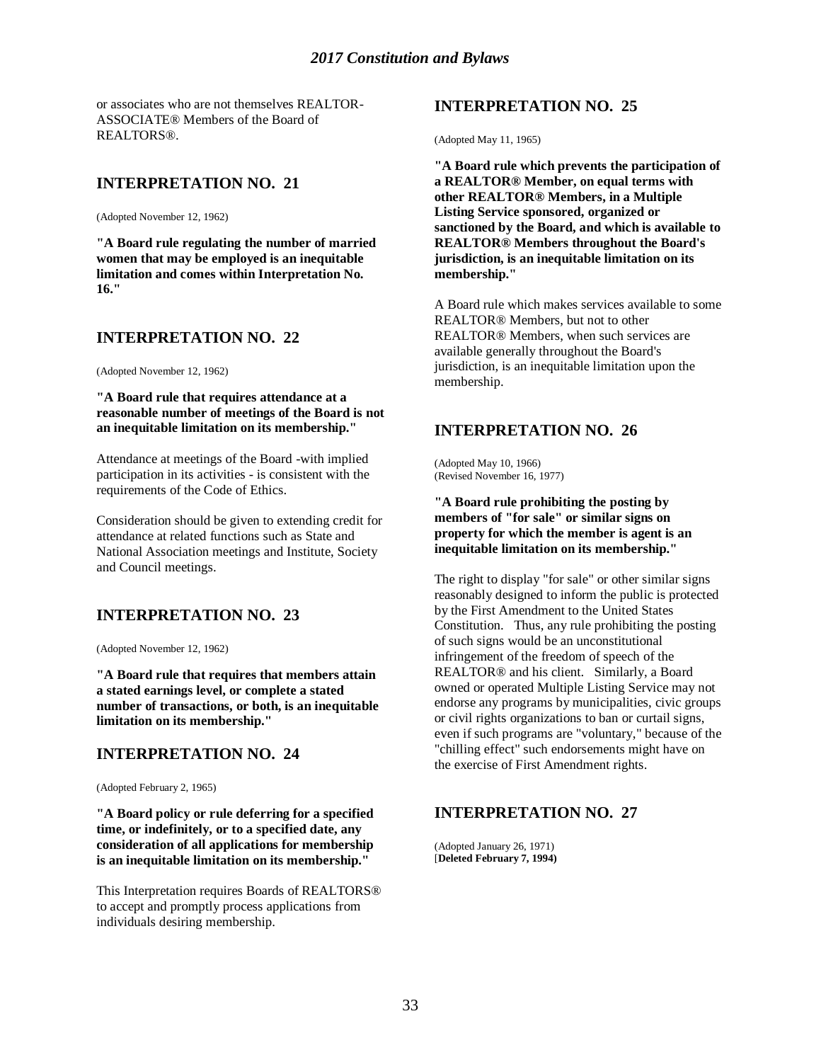or associates who are not themselves REALTOR-ASSOCIATE® Members of the Board of REALTORS®.

# **INTERPRETATION NO. 21**

(Adopted November 12, 1962)

**"A Board rule regulating the number of married women that may be employed is an inequitable limitation and comes within Interpretation No. 16."**

## **INTERPRETATION NO. 22**

(Adopted November 12, 1962)

**"A Board rule that requires attendance at a reasonable number of meetings of the Board is not an inequitable limitation on its membership."**

Attendance at meetings of the Board -with implied participation in its activities - is consistent with the requirements of the Code of Ethics.

Consideration should be given to extending credit for attendance at related functions such as State and National Association meetings and Institute, Society and Council meetings.

# **INTERPRETATION NO. 23**

(Adopted November 12, 1962)

**"A Board rule that requires that members attain a stated earnings level, or complete a stated number of transactions, or both, is an inequitable limitation on its membership."**

#### **INTERPRETATION NO. 24**

(Adopted February 2, 1965)

**"A Board policy or rule deferring for a specified time, or indefinitely, or to a specified date, any consideration of all applications for membership is an inequitable limitation on its membership."**

This Interpretation requires Boards of REALTORS® to accept and promptly process applications from individuals desiring membership.

# **INTERPRETATION NO. 25**

(Adopted May 11, 1965)

**"A Board rule which prevents the participation of a REALTOR® Member, on equal terms with other REALTOR® Members, in a Multiple Listing Service sponsored, organized or sanctioned by the Board, and which is available to REALTOR® Members throughout the Board's jurisdiction, is an inequitable limitation on its membership."**

A Board rule which makes services available to some REALTOR® Members, but not to other REALTOR® Members, when such services are available generally throughout the Board's jurisdiction, is an inequitable limitation upon the membership.

## **INTERPRETATION NO. 26**

(Adopted May 10, 1966) (Revised November 16, 1977)

**"A Board rule prohibiting the posting by members of "for sale" or similar signs on property for which the member is agent is an inequitable limitation on its membership."**

The right to display "for sale" or other similar signs reasonably designed to inform the public is protected by the First Amendment to the United States Constitution. Thus, any rule prohibiting the posting of such signs would be an unconstitutional infringement of the freedom of speech of the REALTOR® and his client. Similarly, a Board owned or operated Multiple Listing Service may not endorse any programs by municipalities, civic groups or civil rights organizations to ban or curtail signs, even if such programs are "voluntary," because of the "chilling effect" such endorsements might have on the exercise of First Amendment rights.

## **INTERPRETATION NO. 27**

(Adopted January 26, 1971) [**Deleted February 7, 1994)**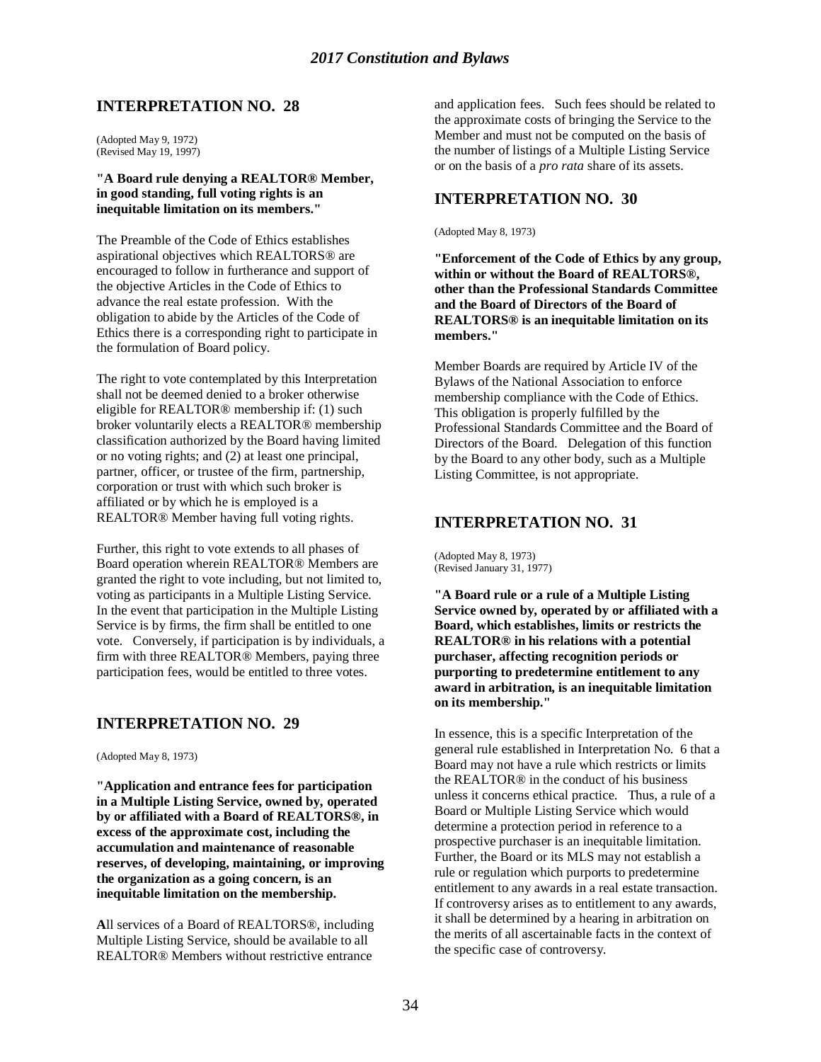(Adopted May 9, 1972) (Revised May 19, 1997)

#### **"A Board rule denying a REALTOR® Member, in good standing, full voting rights is an inequitable limitation on its members."**

The Preamble of the Code of Ethics establishes aspirational objectives which REALTORS® are encouraged to follow in furtherance and support of the objective Articles in the Code of Ethics to advance the real estate profession. With the obligation to abide by the Articles of the Code of Ethics there is a corresponding right to participate in the formulation of Board policy.

The right to vote contemplated by this Interpretation shall not be deemed denied to a broker otherwise eligible for REALTOR® membership if: (1) such broker voluntarily elects a REALTOR® membership classification authorized by the Board having limited or no voting rights; and (2) at least one principal, partner, officer, or trustee of the firm, partnership, corporation or trust with which such broker is affiliated or by which he is employed is a REALTOR® Member having full voting rights.

Further, this right to vote extends to all phases of Board operation wherein REALTOR® Members are granted the right to vote including, but not limited to, voting as participants in a Multiple Listing Service. In the event that participation in the Multiple Listing Service is by firms, the firm shall be entitled to one vote. Conversely, if participation is by individuals, a firm with three REALTOR® Members, paying three participation fees, would be entitled to three votes.

## **INTERPRETATION NO. 29**

(Adopted May 8, 1973)

**"Application and entrance fees for participation in a Multiple Listing Service, owned by, operated by or affiliated with a Board of REALTORS®, in excess of the approximate cost, including the accumulation and maintenance of reasonable reserves, of developing, maintaining, or improving the organization as a going concern, is an inequitable limitation on the membership.**

**A**ll services of a Board of REALTORS®, including Multiple Listing Service, should be available to all REALTOR® Members without restrictive entrance

and application fees. Such fees should be related to the approximate costs of bringing the Service to the Member and must not be computed on the basis of the number of listings of a Multiple Listing Service or on the basis of a *pro rata* share of its assets.

# **INTERPRETATION NO. 30**

(Adopted May 8, 1973)

**"Enforcement of the Code of Ethics by any group, within or without the Board of REALTORS®, other than the Professional Standards Committee and the Board of Directors of the Board of REALTORS® is an inequitable limitation on its members."**

Member Boards are required by Article IV of the Bylaws of the National Association to enforce membership compliance with the Code of Ethics. This obligation is properly fulfilled by the Professional Standards Committee and the Board of Directors of the Board. Delegation of this function by the Board to any other body, such as a Multiple Listing Committee, is not appropriate.

## **INTERPRETATION NO. 31**

(Adopted May 8, 1973) (Revised January 31, 1977)

**"A Board rule or a rule of a Multiple Listing Service owned by, operated by or affiliated with a Board, which establishes, limits or restricts the REALTOR® in his relations with a potential purchaser, affecting recognition periods or purporting to predetermine entitlement to any award in arbitration, is an inequitable limitation on its membership."**

In essence, this is a specific Interpretation of the general rule established in Interpretation No. 6 that a Board may not have a rule which restricts or limits the REALTOR® in the conduct of his business unless it concerns ethical practice. Thus, a rule of a Board or Multiple Listing Service which would determine a protection period in reference to a prospective purchaser is an inequitable limitation. Further, the Board or its MLS may not establish a rule or regulation which purports to predetermine entitlement to any awards in a real estate transaction. If controversy arises as to entitlement to any awards, it shall be determined by a hearing in arbitration on the merits of all ascertainable facts in the context of the specific case of controversy.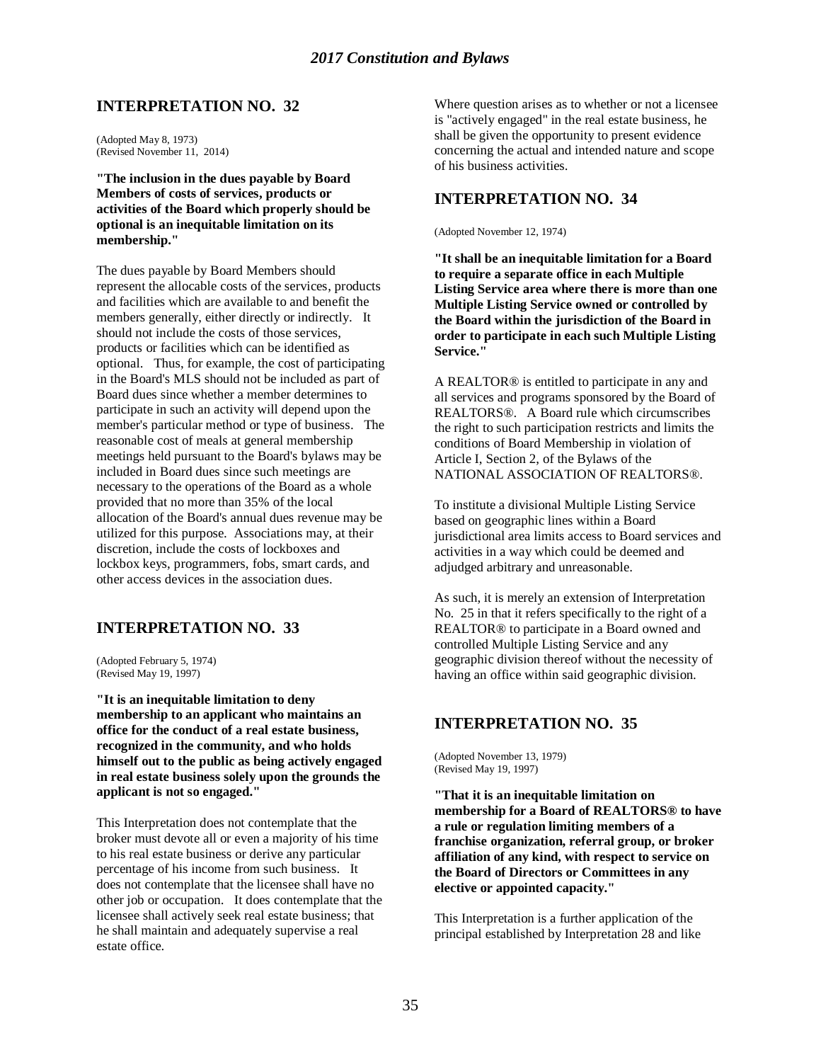(Adopted May 8, 1973) (Revised November 11, 2014)

**"The inclusion in the dues payable by Board Members of costs of services, products or activities of the Board which properly should be optional is an inequitable limitation on its membership."**

The dues payable by Board Members should represent the allocable costs of the services, products and facilities which are available to and benefit the members generally, either directly or indirectly. It should not include the costs of those services, products or facilities which can be identified as optional. Thus, for example, the cost of participating in the Board's MLS should not be included as part of Board dues since whether a member determines to participate in such an activity will depend upon the member's particular method or type of business. The reasonable cost of meals at general membership meetings held pursuant to the Board's bylaws may be included in Board dues since such meetings are necessary to the operations of the Board as a whole provided that no more than 35% of the local allocation of the Board's annual dues revenue may be utilized for this purpose. Associations may, at their discretion, include the costs of lockboxes and lockbox keys, programmers, fobs, smart cards, and other access devices in the association dues.

# **INTERPRETATION NO. 33**

(Adopted February 5, 1974) (Revised May 19, 1997)

**"It is an inequitable limitation to deny membership to an applicant who maintains an office for the conduct of a real estate business, recognized in the community, and who holds himself out to the public as being actively engaged in real estate business solely upon the grounds the applicant is not so engaged."**

This Interpretation does not contemplate that the broker must devote all or even a majority of his time to his real estate business or derive any particular percentage of his income from such business. It does not contemplate that the licensee shall have no other job or occupation. It does contemplate that the licensee shall actively seek real estate business; that he shall maintain and adequately supervise a real estate office.

Where question arises as to whether or not a licensee is "actively engaged" in the real estate business, he shall be given the opportunity to present evidence concerning the actual and intended nature and scope of his business activities.

# **INTERPRETATION NO. 34**

(Adopted November 12, 1974)

**"It shall be an inequitable limitation for a Board to require a separate office in each Multiple Listing Service area where there is more than one Multiple Listing Service owned or controlled by the Board within the jurisdiction of the Board in order to participate in each such Multiple Listing Service."**

A REALTOR® is entitled to participate in any and all services and programs sponsored by the Board of REALTORS®. A Board rule which circumscribes the right to such participation restricts and limits the conditions of Board Membership in violation of Article I, Section 2, of the Bylaws of the NATIONAL ASSOCIATION OF REALTORS®.

To institute a divisional Multiple Listing Service based on geographic lines within a Board jurisdictional area limits access to Board services and activities in a way which could be deemed and adjudged arbitrary and unreasonable.

As such, it is merely an extension of Interpretation No. 25 in that it refers specifically to the right of a REALTOR® to participate in a Board owned and controlled Multiple Listing Service and any geographic division thereof without the necessity of having an office within said geographic division.

## **INTERPRETATION NO. 35**

(Adopted November 13, 1979) (Revised May 19, 1997)

**"That it is an inequitable limitation on membership for a Board of REALTORS® to have a rule or regulation limiting members of a franchise organization, referral group, or broker affiliation of any kind, with respect to service on the Board of Directors or Committees in any elective or appointed capacity."**

This Interpretation is a further application of the principal established by Interpretation 28 and like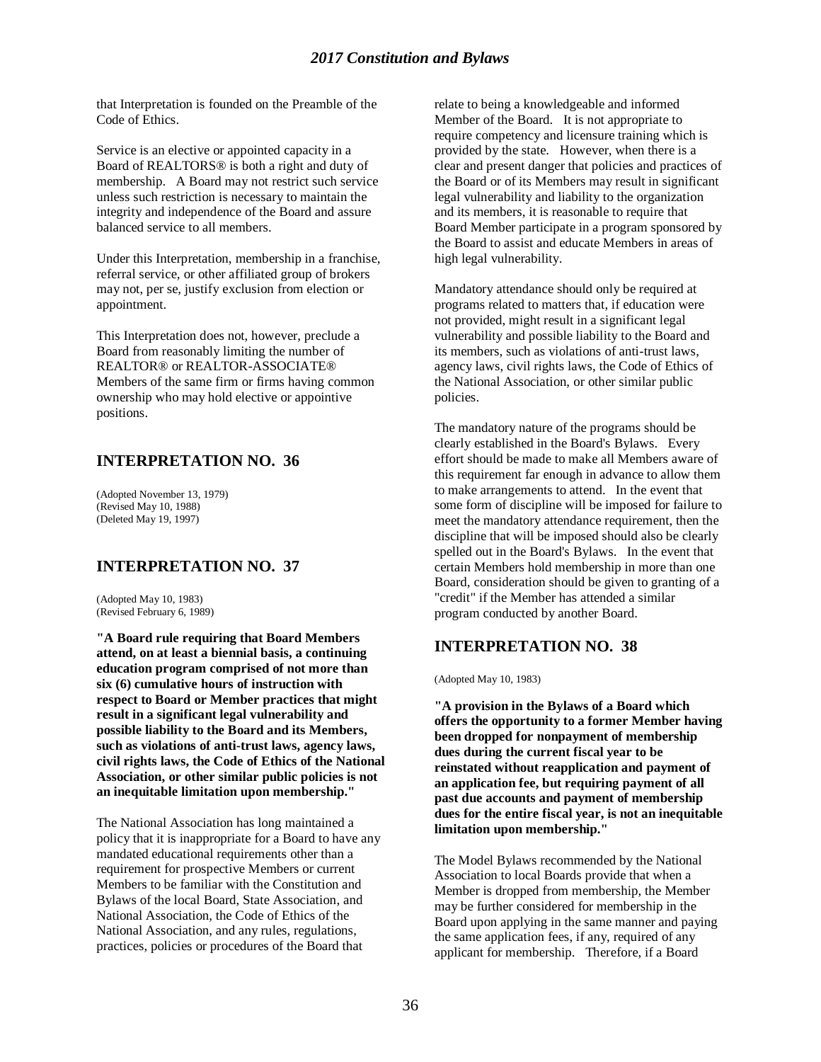that Interpretation is founded on the Preamble of the Code of Ethics.

Service is an elective or appointed capacity in a Board of REALTORS® is both a right and duty of membership. A Board may not restrict such service unless such restriction is necessary to maintain the integrity and independence of the Board and assure balanced service to all members.

Under this Interpretation, membership in a franchise, referral service, or other affiliated group of brokers may not, per se, justify exclusion from election or appointment.

This Interpretation does not, however, preclude a Board from reasonably limiting the number of REALTOR® or REALTOR-ASSOCIATE® Members of the same firm or firms having common ownership who may hold elective or appointive positions.

# **INTERPRETATION NO. 36**

(Adopted November 13, 1979) (Revised May 10, 1988) (Deleted May 19, 1997)

## **INTERPRETATION NO. 37**

(Adopted May 10, 1983) (Revised February 6, 1989)

**"A Board rule requiring that Board Members attend, on at least a biennial basis, a continuing education program comprised of not more than six (6) cumulative hours of instruction with respect to Board or Member practices that might result in a significant legal vulnerability and possible liability to the Board and its Members, such as violations of anti-trust laws, agency laws, civil rights laws, the Code of Ethics of the National Association, or other similar public policies is not an inequitable limitation upon membership."**

The National Association has long maintained a policy that it is inappropriate for a Board to have any mandated educational requirements other than a requirement for prospective Members or current Members to be familiar with the Constitution and Bylaws of the local Board, State Association, and National Association, the Code of Ethics of the National Association, and any rules, regulations, practices, policies or procedures of the Board that

relate to being a knowledgeable and informed Member of the Board. It is not appropriate to require competency and licensure training which is provided by the state. However, when there is a clear and present danger that policies and practices of the Board or of its Members may result in significant legal vulnerability and liability to the organization and its members, it is reasonable to require that Board Member participate in a program sponsored by the Board to assist and educate Members in areas of high legal vulnerability.

Mandatory attendance should only be required at programs related to matters that, if education were not provided, might result in a significant legal vulnerability and possible liability to the Board and its members, such as violations of anti-trust laws, agency laws, civil rights laws, the Code of Ethics of the National Association, or other similar public policies.

The mandatory nature of the programs should be clearly established in the Board's Bylaws. Every effort should be made to make all Members aware of this requirement far enough in advance to allow them to make arrangements to attend. In the event that some form of discipline will be imposed for failure to meet the mandatory attendance requirement, then the discipline that will be imposed should also be clearly spelled out in the Board's Bylaws. In the event that certain Members hold membership in more than one Board, consideration should be given to granting of a "credit" if the Member has attended a similar program conducted by another Board.

## **INTERPRETATION NO. 38**

(Adopted May 10, 1983)

**"A provision in the Bylaws of a Board which offers the opportunity to a former Member having been dropped for nonpayment of membership dues during the current fiscal year to be reinstated without reapplication and payment of an application fee, but requiring payment of all past due accounts and payment of membership dues for the entire fiscal year, is not an inequitable limitation upon membership."**

The Model Bylaws recommended by the National Association to local Boards provide that when a Member is dropped from membership, the Member may be further considered for membership in the Board upon applying in the same manner and paying the same application fees, if any, required of any applicant for membership. Therefore, if a Board